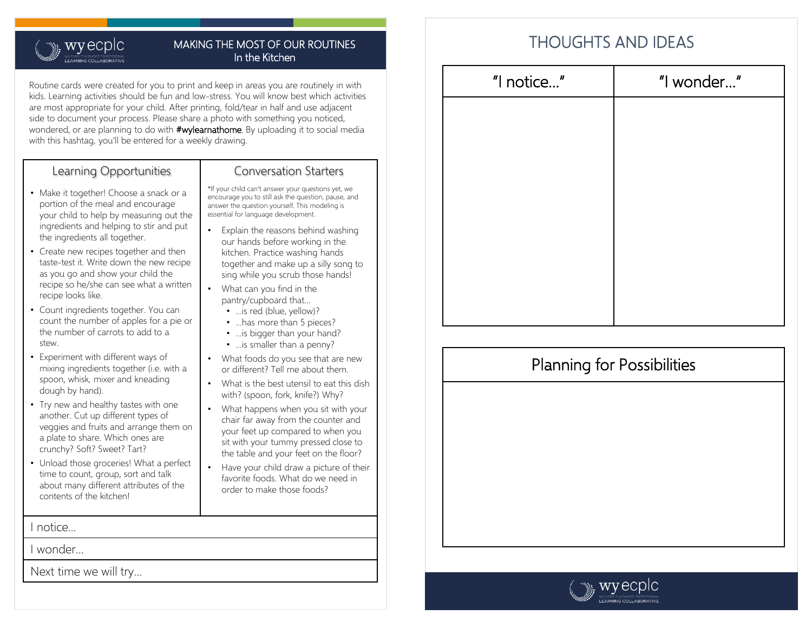### $\mathbf{w}$ , wyecplc Y EARLY CHILDHOOD PROFESSIONAL<br>**FARNING COI LABORATIVE**

### MAKING THE MOST OF OUR ROUTINES In the Kitchen

Routine cards were created for you to print and keep in areas you are routinely in with kids. Learning activities should be fun and low-stress. You will know best which activities are most appropriate for your child. After printing, fold/tear in half and use adjacent side to document your process. Please share a photo with something you noticed, wondered, or are planning to do with **#wylearnathome**. By uploading it to social media with this hashtag, you'll be entered for a weekly drawing.

## Learning Opportunities

- Make it together! Choose a snack or a portion of the meal and encourage your child to help by measuring out the ingredients and helping to stir and put the ingredients all together.
- Create new recipes together and then taste-test it. Write down the new recipe as you go and show your child the recipe so he/she can see what a written recipe looks like.
- Count ingredients together. You can count the number of apples for a pie or the number of carrots to add to a stew.
- Experiment with different ways of mixing ingredients together (i.e. with a spoon, whisk, mixer and kneading dough by hand).
- Try new and healthy tastes with one another. Cut up different types of veggies and fruits and arrange them on a plate to share. Which ones are crunchy? Soft? Sweet? Tart?
- Unload those groceries! What a perfect time to count, group, sort and talk about many different attributes of the contents of the kitchen!

I notice…

I wonder…

Next time we will try…

## Conversation Starters

\*If your child can't answer your questions yet, we encourage you to still ask the question, pause, and answer the question yourself. This modeling is essential for language development.

- Explain the reasons behind washing our hands before working in the kitchen. Practice washing hands together and make up a silly song to sing while you scrub those hands!
- What can you find in the pantry/cupboard that…
	- …is red (blue, yellow)?
	- ...has more than 5 pieces?
	- ...is bigger than your hand?
	- ...is smaller than a penny?
- What foods do you see that are new or different? Tell me about them.
- What is the best utensil to eat this dish with? (spoon, fork, knife?) Why?
- What happens when you sit with your chair far away from the counter and your feet up compared to when you sit with your tummy pressed close to the table and your feet on the floor?
- Have your child draw a picture of their favorite foods. What do we need in order to make those foods?

| "I notice" | "I wonder" |
|------------|------------|
|            |            |
|            |            |
|            |            |
|            |            |
|            |            |
|            |            |
|            |            |
|            |            |



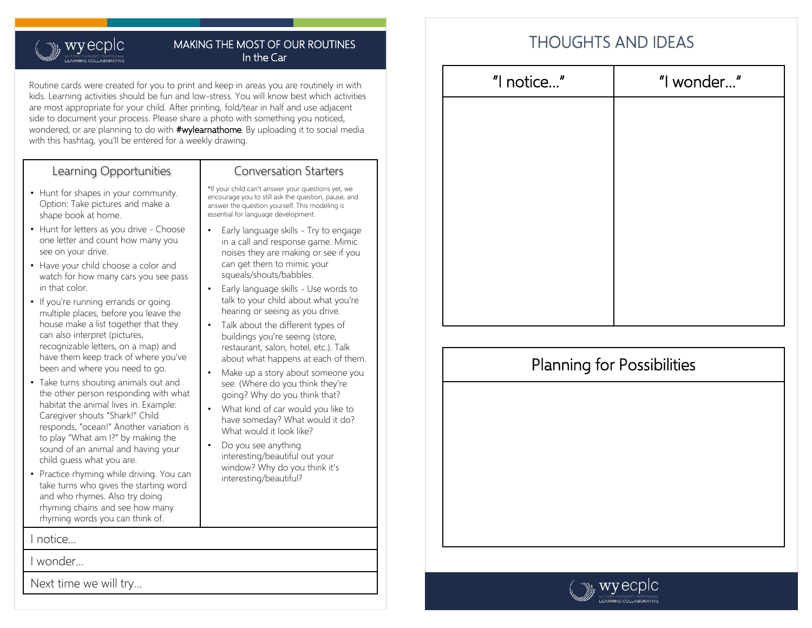### $\mathbf{w}$ , wyecplc Y EARLY CHILDHOOD PROFESSIONAL<br>**FARNING COI LABORATIVE**

### MAKING THE MOST OF OUR ROUTINES In the Car

Routine cards were created for you to print and keep in areas you are routinely in with kids. Learning activities should be fun and low-stress. You will know best which activities are most appropriate for your child. After printing, fold/tear in half and use adjacent side to document your process. Please share a photo with something you noticed, wondered, or are planning to do with **#wylearnathome**. By uploading it to social media with this hashtag, you'll be entered for a weekly drawing.

## Learning Opportunities

- Hunt for shapes in your community. Option: Take pictures and make a shape book at home.
- Hunt for letters as you drive Choose one letter and count how many you see on your drive.
- Have your child choose a color and watch for how many cars you see pass in that color.
- If you're running errands or going multiple places, before you leave the house make a list together that they can also interpret (pictures, recognizable letters, on a map) and have them keep track of where you've been and where you need to go.
- Take turns shouting animals out and the other person responding with what habitat the animal lives in. Example: Caregiver shouts "Shark!" Child responds, "ocean!" Another variation is to play "What am I?" by making the sound of an animal and having your child guess what you are.
- Practice rhyming while driving. You can take turns who gives the starting word and who rhymes. Also try doing rhyming chains and see how many rhyming words you can think of.

I notice…

I wonder…

Next time we will try…

## Conversation Starters

\*If your child can't answer your questions yet, we encourage you to still ask the question, pause, and answer the question yourself. This modeling is essential for language development.

- Early language skills Try to engage in a call and response game. Mimic noises they are making or see if you can get them to mimic your squeals/shouts/babbles.
- Early language skills Use words to talk to your child about what you're hearing or seeing as you drive.
- Talk about the different types of buildings you're seeing (store, restaurant, salon, hotel, etc.). Talk about what happens at each of them.
- Make up a story about someone you see. (Where do you think they're going? Why do you think that?
- What kind of car would you like to have someday? What would it do? What would it look like?
- Do you see anything interesting/beautiful out your window? Why do you think it's interesting/beautiful?

| "I notice" | "I wonder" |
|------------|------------|
|            |            |
|            |            |
|            |            |
|            |            |
|            |            |
|            |            |
|            |            |
|            |            |



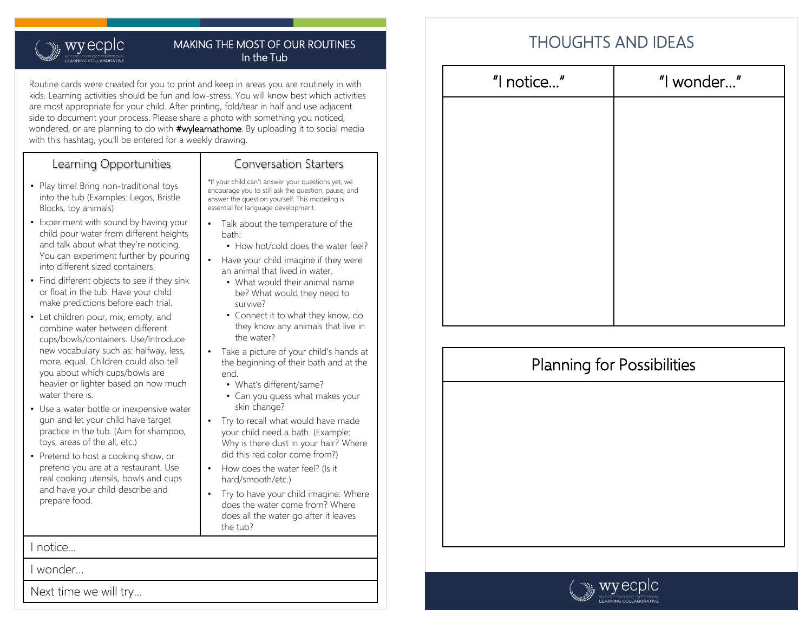### wyecplc **WEARLY CHILDHOOD PROFESSIONAL**<br>**FARNING COLLABORATIVE**

### MAKING THE MOST OF OUR ROUTINES In the Tub

Routine cards were created for you to print and keep in areas you are routinely in with kids. Learning activities should be fun and low-stress. You will know best which activities are most appropriate for your child. After printing, fold/tear in half and use adjacent side to document your process. Please share a photo with something you noticed, wondered, or are planning to do with **#wylearnathome**. By uploading it to social media with this hashtag, you'll be entered for a weekly drawing.

## Learning Opportunities

- Play time! Bring non-traditional toys into the tub (Examples: Legos, Bristle Blocks, toy animals)
- Experiment with sound by having your child pour water from different heights and talk about what they're noticing. You can experiment further by pouring into different sized containers.
- Find different objects to see if they sink or float in the tub. Have your child make predictions before each trial.
- Let children pour, mix, empty, and combine water between different cups/bowls/containers. Use/Introduce new vocabulary such as: halfway, less, more, equal. Children could also tell you about which cups/bowls are heavier or lighter based on how much water there is.
- Use a water bottle or inexpensive water gun and let your child have target practice in the tub. (Aim for shampoo, toys, areas of the all, etc.)
- Pretend to host a cooking show, or pretend you are at a restaurant. Use real cooking utensils, bowls and cups and have your child describe and prepare food.

I notice…

I wonder…

Next time we will try…

## Conversation Starters

\*If your child can't answer your questions yet, we encourage you to still ask the question, pause, and answer the question yourself. This modeling is essential for language development.

- Talk about the temperature of the bath:
	- How hot/cold does the water feel?
- Have your child imagine if they were an animal that lived in water. • What would their animal name
	- be? What would they need to survive?
	- Connect it to what they know, do they know any animals that live in the water?
- Take a picture of your child's hands at the beginning of their bath and at the end.
	- What's different/same?
	- Can you guess what makes your skin change?
- Try to recall what would have made your child need a bath. (Example: Why is there dust in your hair? Where did this red color come from?)
- How does the water feel? (Is it hard/smooth/etc.)
- Try to have your child imagine: Where does the water come from? Where does all the water go after it leaves the tub?

| "I notice" | "I wonder" |
|------------|------------|
|            |            |
|            |            |
|            |            |
|            |            |
|            |            |
|            |            |
|            |            |
|            |            |



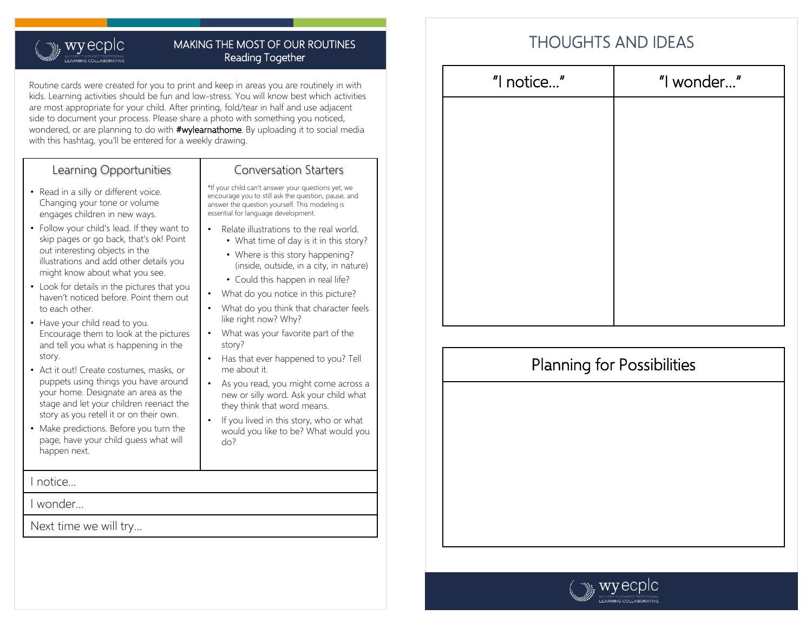### <sub>။</sub>, wyecplc Y EARLY CHILDHOOD PROFESSIONAL<br>**FARNING COI LABORATIVE**

### MAKING THE MOST OF OUR ROUTINES Reading Together

Routine cards were created for you to print and keep in areas you are routinely in with kids. Learning activities should be fun and low-stress. You will know best which activities are most appropriate for your child. After printing, fold/tear in half and use adjacent side to document your process. Please share a photo with something you noticed, wondered, or are planning to do with **#wylearnathome**. By uploading it to social media with this hashtag, you'll be entered for a weekly drawing.

## Learning Opportunities

- Read in a silly or different voice. Changing your tone or volume engages children in new ways.
- Follow your child's lead. If they want to skip pages or go back, that's ok! Point out interesting objects in the illustrations and add other details you might know about what you see.
- Look for details in the pictures that you haven't noticed before. Point them out to each other.
- Have your child read to you. Encourage them to look at the pictures and tell you what is happening in the story.
- Act it out! Create costumes, masks, or puppets using things you have around your home. Designate an area as the stage and let your children reenact the story as you retell it or on their own.
- Make predictions. Before you turn the page, have your child guess what will happen next.

I notice…

I wonder…

Next time we will try…

### Conversation Starters

\*If your child can't answer your questions yet, we encourage you to still ask the question, pause, and answer the question yourself. This modeling is essential for language development.

- Relate illustrations to the real world.
	- What time of day is it in this story?
	- Where is this story happening? (inside, outside, in a city, in nature)
	- Could this happen in real life?
- What do you notice in this picture?
- What do you think that character feels like right now? Why?
- What was your favorite part of the story?
- Has that ever happened to you? Tell me about it.
- As you read, you might come across a new or silly word. Ask your child what they think that word means.
- If you lived in this story, who or what would you like to be? What would you do?

| "I wonder" |
|------------|
|            |
|            |
|            |
|            |
|            |
|            |
|            |
|            |



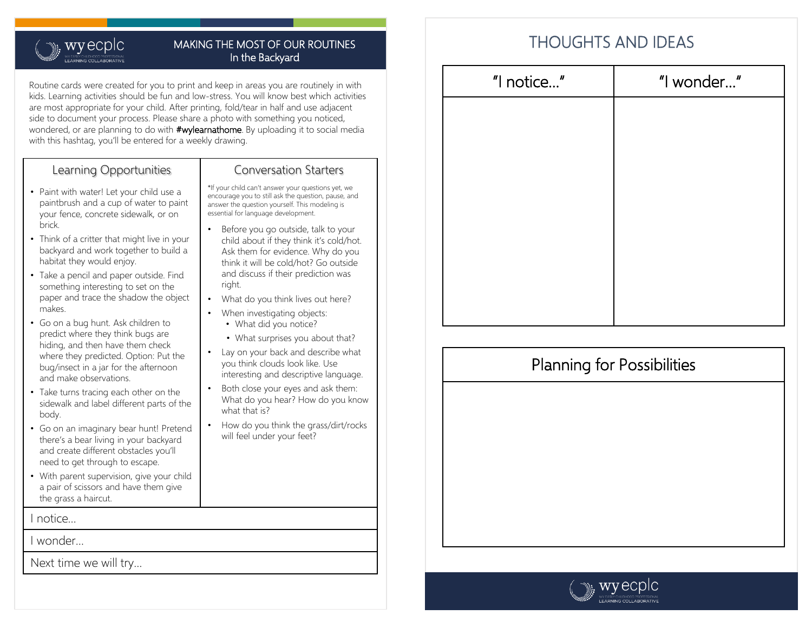### $\mathbf{w}$ , wyecplc *IN EARLY CHILDHOOD PROFESSIONAL*<br>**FARNING COLLABORATIVE**

### MAKING THE MOST OF OUR ROUTINES In the Backyard

Routine cards were created for you to print and keep in areas you are routinely in with kids. Learning activities should be fun and low-stress. You will know best which activities are most appropriate for your child. After printing, fold/tear in half and use adjacent side to document your process. Please share a photo with something you noticed, wondered, or are planning to do with **#wylearnathome**. By uploading it to social media with this hashtag, you'll be entered for a weekly drawing.

## Learning Opportunities

- Paint with water! Let your child use a paintbrush and a cup of water to paint your fence, concrete sidewalk, or on brick.
- Think of a critter that might live in your backyard and work together to build a habitat they would enjoy.
- Take a pencil and paper outside. Find something interesting to set on the paper and trace the shadow the object makes.
- Go on a bug hunt. Ask children to predict where they think bugs are hiding, and then have them check where they predicted. Option: Put the bug/insect in a jar for the afternoon and make observations.
- Take turns tracing each other on the sidewalk and label different parts of the body.
- Go on an imaginary bear hunt! Pretend there's a bear living in your backyard and create different obstacles you'll need to get through to escape.
- With parent supervision, give your child a pair of scissors and have them give the grass a haircut.

I notice…

I wonder…

Next time we will try…

### Conversation Starters

\*If your child can't answer your questions yet, we encourage you to still ask the question, pause, and answer the question yourself. This modeling is essential for language development.

- Before you go outside, talk to your child about if they think it's cold/hot. Ask them for evidence. Why do you think it will be cold/hot? Go outside and discuss if their prediction was right.
- What do you think lives out here?
- When investigating objects:
	- What did you notice?
	- What surprises you about that?
- Lay on your back and describe what you think clouds look like. Use interesting and descriptive language.
- Both close your eyes and ask them: What do you hear? How do you know what that is?
- How do you think the grass/dirt/rocks will feel under your feet?

| "I notice" | "I wonder" |
|------------|------------|
|            |            |
|            |            |
|            |            |
|            |            |
|            |            |
|            |            |
|            |            |
|            |            |



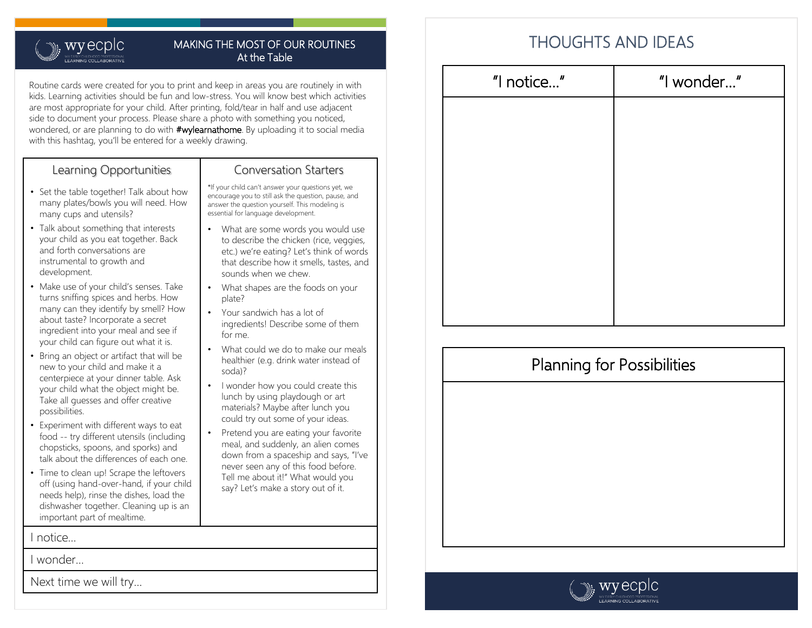### $\mathbf{w}$ , wyecplc Y EARLY CHILDHOOD PROFESSIONAL<br>F**ARNING COLLABORATIVE**

#### MAKING THE MOST OF OUR ROUTINES At the Table

Routine cards were created for you to print and keep in areas you are routinely in with kids. Learning activities should be fun and low-stress. You will know best which activities are most appropriate for your child. After printing, fold/tear in half and use adjacent side to document your process. Please share a photo with something you noticed, wondered, or are planning to do with **#wylearnathome**. By uploading it to social media with this hashtag, you'll be entered for a weekly drawing.

## Learning Opportunities

- Set the table together! Talk about how many plates/bowls you will need. How many cups and utensils?
- Talk about something that interests your child as you eat together. Back and forth conversations are instrumental to growth and development.
- Make use of your child's senses. Take turns sniffing spices and herbs. How many can they identify by smell? How about taste? Incorporate a secret ingredient into your meal and see if your child can figure out what it is.
- Bring an object or artifact that will be new to your child and make it a centerpiece at your dinner table. Ask your child what the object might be. Take all guesses and offer creative possibilities.
- Experiment with different ways to eat food -- try different utensils (including chopsticks, spoons, and sporks) and talk about the differences of each one.
- Time to clean up! Scrape the leftovers off (using hand-over-hand, if your child needs help), rinse the dishes, load the dishwasher together. Cleaning up is an important part of mealtime.

I notice…

I wonder…

Next time we will try…

## Conversation Starters

\*If your child can't answer your questions yet, we encourage you to still ask the question, pause, and answer the question yourself. This modeling is essential for language development.

- What are some words you would use to describe the chicken (rice, veggies, etc.) we're eating? Let's think of words that describe how it smells, tastes, and sounds when we chew.
- What shapes are the foods on your plate?
- Your sandwich has a lot of ingredients! Describe some of them for me.
- What could we do to make our meals healthier (e.g. drink water instead of soda)?
- I wonder how you could create this lunch by using playdough or art materials? Maybe after lunch you could try out some of your ideas.
- Pretend you are eating your favorite meal, and suddenly, an alien comes down from a spaceship and says, "I've never seen any of this food before. Tell me about it!" What would you say? Let's make a story out of it.

| "I notice" | "I wonder" |
|------------|------------|
|            |            |
|            |            |
|            |            |
|            |            |
|            |            |
|            |            |
|            |            |
|            |            |